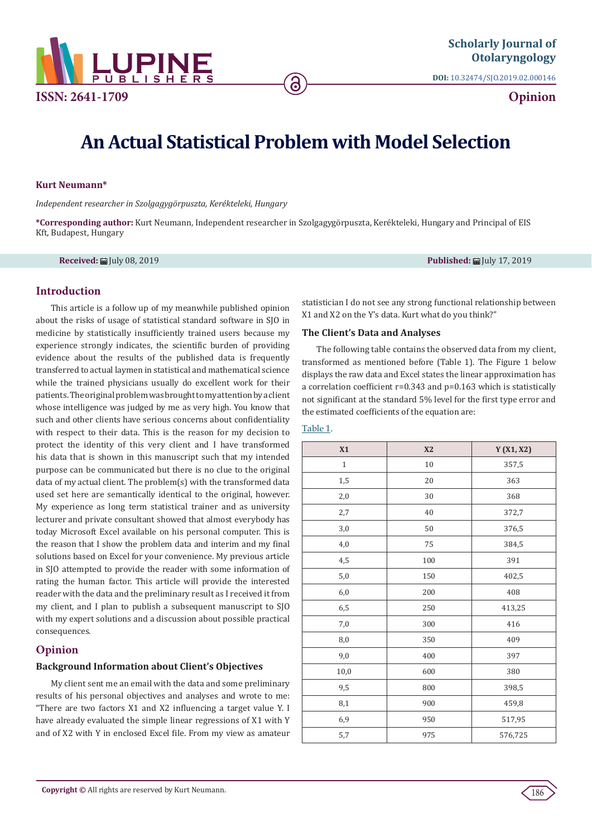

**DOI:** [10.32474/SJO.2019.02.000146](http://dx.doi.org/10.32474/SJO.2019.02.000146)

**Opinion**

# **An Actual Statistical Problem with Model Selection**

ခ

#### **Kurt Neumann\***

*Independent researcher in Szolgagygörpuszta, Kerékteleki, Hungary*

**\*Corresponding author:** Kurt Neumann, Independent researcher in Szolgagygörpuszta, Kerékteleki, Hungary and Principal of EIS Kft, Budapest, Hungary

**Received:** July 08, 2019 **Published:** July 17, 2019

### **Introduction**

This article is a follow up of my meanwhile published opinion about the risks of usage of statistical standard software in SJO in medicine by statistically insufficiently trained users because my experience strongly indicates, the scientific burden of providing evidence about the results of the published data is frequently transferred to actual laymen in statistical and mathematical science while the trained physicians usually do excellent work for their patients. The original problem was brought to my attention by a client whose intelligence was judged by me as very high. You know that such and other clients have serious concerns about confidentiality with respect to their data. This is the reason for my decision to protect the identity of this very client and I have transformed his data that is shown in this manuscript such that my intended purpose can be communicated but there is no clue to the original data of my actual client. The problem(s) with the transformed data used set here are semantically identical to the original, however. My experience as long term statistical trainer and as university lecturer and private consultant showed that almost everybody has today Microsoft Excel available on his personal computer. This is the reason that I show the problem data and interim and my final solutions based on Excel for your convenience. My previous article in SJO attempted to provide the reader with some information of rating the human factor. This article will provide the interested reader with the data and the preliminary result as I received it from my client, and I plan to publish a subsequent manuscript to SJO with my expert solutions and a discussion about possible practical consequences.

# **Opinion**

#### **Background Information about Client's Objectives**

My client sent me an email with the data and some preliminary results of his personal objectives and analyses and wrote to me: "There are two factors X1 and X2 influencing a target value Y. I have already evaluated the simple linear regressions of X1 with Y and of X2 with Y in enclosed Excel file. From my view as amateur

statistician I do not see any strong functional relationship between X1 and X2 on the Y's data. Kurt what do you think?"

#### **The Client's Data and Analyses**

The following table contains the observed data from my client, transformed as mentioned before (Table 1). The Figure 1 below displays the raw data and Excel states the linear approximation has a correlation coefficient r=0.343 and p=0.163 which is statistically not significant at the standard 5% level for the first type error and the estimated coefficients of the equation are:

#### Table 1.

| X1           | X2     | Y(X1, X2) |
|--------------|--------|-----------|
| $\mathbf{1}$ | $10\,$ | 357,5     |
| 1,5          | 20     | 363       |
| 2,0          | 30     | 368       |
| 2,7          | 40     | 372,7     |
| 3,0          | 50     | 376,5     |
| 4,0          | 75     | 384,5     |
| 4,5          | 100    | 391       |
| 5,0          | 150    | 402,5     |
| 6,0          | 200    | 408       |
| 6,5          | 250    | 413,25    |
| 7,0          | 300    | 416       |
| 8,0          | 350    | 409       |
| 9,0          | 400    | 397       |
| 10,0         | 600    | 380       |
| 9,5          | 800    | 398,5     |
| 8,1          | 900    | 459,8     |
| 6,9          | 950    | 517,95    |
| 5,7          | 975    | 576,725   |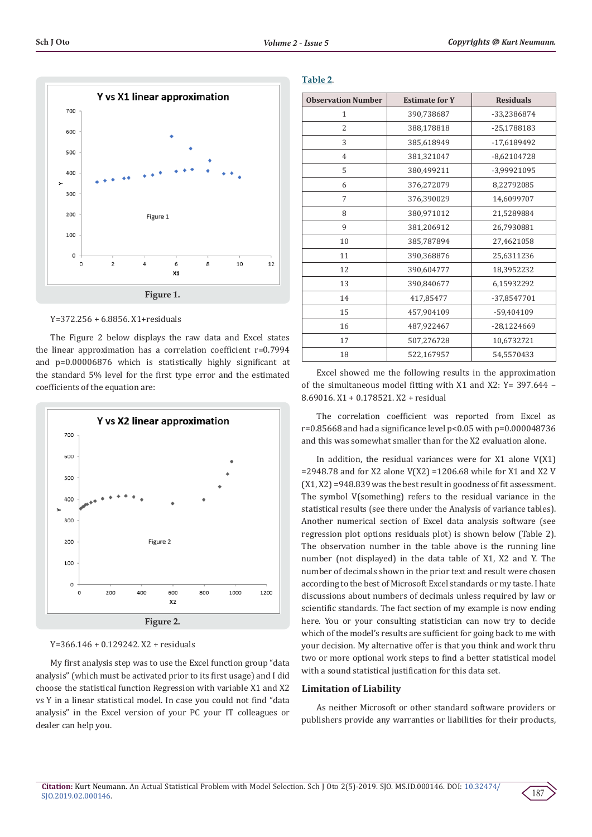

Y=372.256 + 6.8856. X1+residuals

The Figure 2 below displays the raw data and Excel states the linear approximation has a correlation coefficient r=0.7994 and p=0.00006876 which is statistically highly significant at the standard 5% level for the first type error and the estimated coefficients of the equation are:



Y=366.146 + 0.129242. X2 + residuals

My first analysis step was to use the Excel function group "data analysis" (which must be activated prior to its first usage) and I did choose the statistical function Regression with variable X1 and X2 vs Y in a linear statistical model. In case you could not find "data analysis" in the Excel version of your PC your IT colleagues or dealer can help you.

#### **Table 2**.

| <b>Observation Number</b> | <b>Estimate for Y</b> | <b>Residuals</b> |
|---------------------------|-----------------------|------------------|
| 1                         | 390,738687            | -33,2386874      |
| $\overline{2}$            | 388,178818            | -25,1788183      |
| 3                         | 385,618949            | -17,6189492      |
| $\overline{4}$            | 381,321047            | $-8,62104728$    |
| 5                         | 380,499211            | -3,99921095      |
| 6                         | 376,272079            | 8,22792085       |
| 7                         | 376,390029            | 14.6099707       |
| 8                         | 380,971012            | 21,5289884       |
| 9                         | 381,206912            | 26,7930881       |
| 10                        | 385,787894            | 27,4621058       |
| 11                        | 390,368876            | 25,6311236       |
| 12                        | 390,604777            | 18,3952232       |
| 13                        | 390,840677            | 6,15932292       |
| 14                        | 417,85477             | -37,8547701      |
| 15                        | 457,904109            | -59,404109       |
| 16                        | 487,922467            | -28,1224669      |
| 17                        | 507,276728            | 10,6732721       |
| 18                        | 522,167957            | 54,5570433       |

Excel showed me the following results in the approximation of the simultaneous model fitting with X1 and X2: Y= 397.644 – 8.69016. X1 + 0.178521. X2 + residual

The correlation coefficient was reported from Excel as r=0.85668 and had a significance level p<0.05 with p=0.000048736 and this was somewhat smaller than for the X2 evaluation alone.

In addition, the residual variances were for X1 alone V(X1)  $=$  2948.78 and for X2 alone V(X2) = 1206.68 while for X1 and X2 V (X1, X2) =948.839 was the best result in goodness of fit assessment. The symbol V(something) refers to the residual variance in the statistical results (see there under the Analysis of variance tables). Another numerical section of Excel data analysis software (see regression plot options residuals plot) is shown below (Table 2). The observation number in the table above is the running line number (not displayed) in the data table of X1, X2 and Y. The number of decimals shown in the prior text and result were chosen according to the best of Microsoft Excel standards or my taste. I hate discussions about numbers of decimals unless required by law or scientific standards. The fact section of my example is now ending here. You or your consulting statistician can now try to decide which of the model's results are sufficient for going back to me with your decision. My alternative offer is that you think and work thru two or more optional work steps to find a better statistical model with a sound statistical justification for this data set.

#### **Limitation of Liability**

As neither Microsoft or other standard software providers or publishers provide any warranties or liabilities for their products,